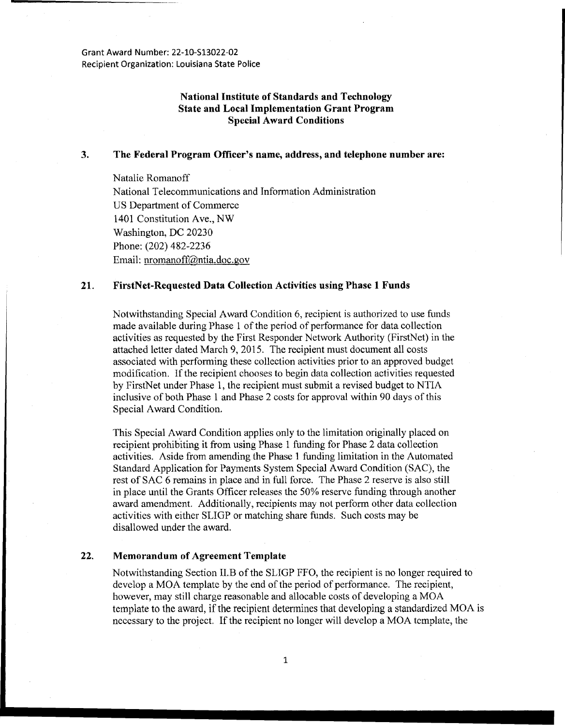Grant Award Number: 22-10-513022-02 Recipient Organization: Louisiana State Police

## **National Institute of Standards and Technology State and Local Implementation Grant Program Special Award Conditions**

### **3. The Federal Program Officer's name, address, and telephone number are:**

Natalie Romanoff National Telecommunications and Information Administration US Department of Commerce 1401 Constitution Ave., NW Washington, DC 20230 Phone: (202) 482-2236 Email: nromanoff@ntia.doc.gov

### **21. FirstNet-Requested Data Collection Activities using Phase 1 Funds**

Notwithstanding Special Award Condition 6, recipient is authorized to use funds made available during Phase 1 of the period of performance for data collection activities as requested by the First Responder Network Authority (FirstNct) in the attached letter dated March 9, 2015. The recipient must document all costs associated with performing these collection activities prior to an approved budget modification. If the recipient chooses to begin data collection activities requested by FirstNet under Phase 1, the recipient must submit a revised budget to NTIA inclusive of both Phase 1 and Phase 2 costs for approval within 90 days of this Special Award Condition.

This Special Award Condition applies only to the limitation originally placed on recipient prohibiting it from using Phase 1 funding for Phase 2 data collection activities. Aside from amending the Phase 1 funding limitation in the Automated Standard Application for Payments System Special Award Condition (SAC), the rest of SAC 6 remains in place and in full force. The Phase 2 reserve is also still in place until the Grants Officer releases the 50% reserve funding through another award amendment. Additionally, recipients may not perform other data collection activities with either SLIGP or matching share fimds. Such costs may be disallowed under the award.

#### **22. Memorandum of Agreement Template**

Notwithstanding Section ll.B of the SLIGP FFO, the recipient is no longer required to develop a MOA template by the end of the period of performance. The recipient, however, may still charge reasonable and allocable costs of developing a MOA template to the award, if the recipient determines that developing a standardized MOA is necessary to the project. If the recipient no longer will develop a MOA template, the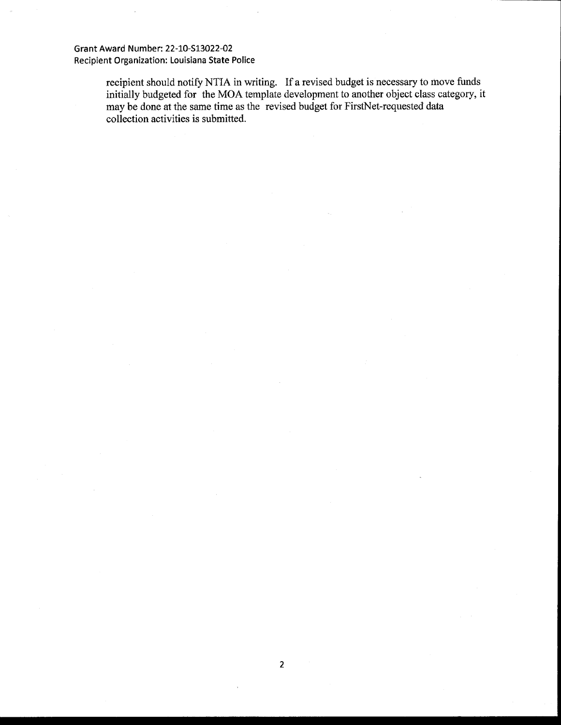## Grant Award Number: 22-10-513022-02 Recipient Organization: Louisiana State Police

recipient should notify NTIA in writing. If a revised budget is necessary to move funds initially budgeted for the MOA template development to another object class category, it may be done at the same time as the revised budget for FirstNet-requested data collection activities is submitted.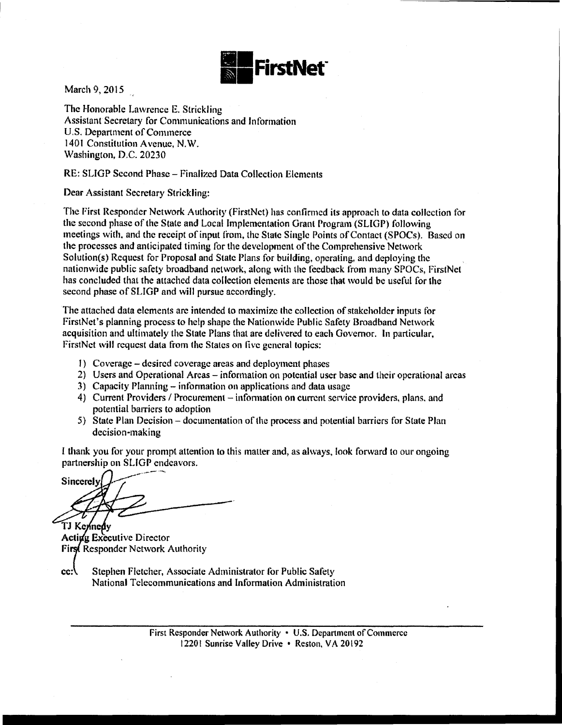

March 9, 2015

The Honorable Lawrence E. Strickling Assistant Secretary for Communications and Information U.S. Department of Commerce 1401 Constitution Avenue, N.W. Washington, D.C. 20230

# RE: SLIGP Second Phase- Finalized Data Collection Elements

Dear Assistant Secretary Strickling:

The First Responder Network Authority (FirstNct) has confirmed its approach to data collection for the second phase of the State and Local Implementation Grant Program (SLIGP) following meetings with, and the receipt of input from, the State Single Points of Contact (SPOCs). Based on the processes and anticipated timing tor the development of the Comprehensive Network Solution(s) Request for Proposal and State Plans for building, operating, and deploying the nationwide public safety broadband network. along with the feedback from many SPOCs, FirstNet has concluded that the attached data collection elements are those that would be useful for the second phase of SLIGP and will pursue accordingly.

The attached data elements are intended to maximize the collection of stakeholder inputs tor FirstNet's planning process to help shape the Nationwide Public Safety Broadband Network acquisition and ultimately the State Plans that are delivered to each Governor. In particular, FirstNct will request data from the States on five general topics:

- I) Coverage- desired coverage areas and deployment phases
- 2) Users and Operational Areas- information on potential user base and their operational areas
- 3) Capacity Planning- infonnation on applications and data usage
- 4) Current Providers / Procurement information on current service providers, plans, and potential barriers to adoption
- 5) State Plan Decision- documentation of the process and potential barriers for State Plan decision-making

I thank you for your prompt attention to this matter and, as always, look forward to out· ongoing partnership on SLIGP endeavors.

Sincerely TJ Kennedy

**Acting Executive Director** First Responder Network Authority

 $cc:$ Stephen Fletcher, Associate Administrator for Public Safety National Telecommunications and Information Administration

> First Responder Network Authority • U.S. Department of Commerce 12201 Sunrise Valley Drive • Reston, VA 20192